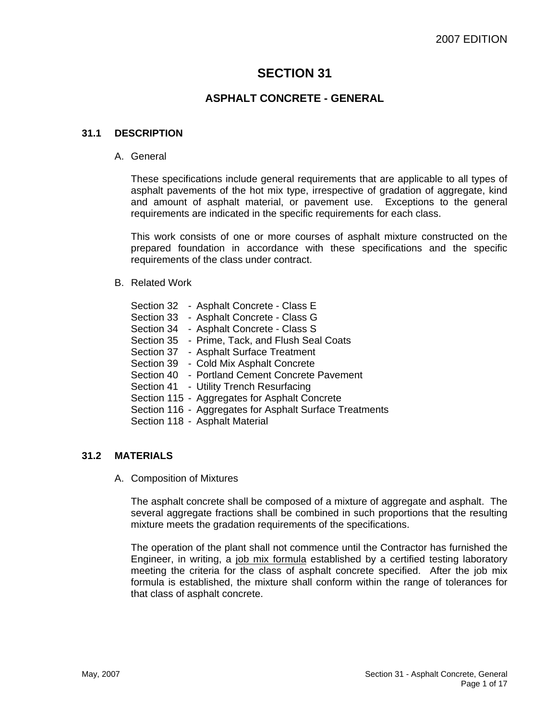# **SECTION 31**

# **ASPHALT CONCRETE - GENERAL**

# **31.1 DESCRIPTION**

#### A. General

These specifications include general requirements that are applicable to all types of asphalt pavements of the hot mix type, irrespective of gradation of aggregate, kind and amount of asphalt material, or pavement use. Exceptions to the general requirements are indicated in the specific requirements for each class.

This work consists of one or more courses of asphalt mixture constructed on the prepared foundation in accordance with these specifications and the specific requirements of the class under contract.

#### B. Related Work

| Section 32 | - Asphalt Concrete - Class E                            |
|------------|---------------------------------------------------------|
|            | Section 33 - Asphalt Concrete - Class G                 |
| Section 34 | - Asphalt Concrete - Class S                            |
| Section 35 | - Prime, Tack, and Flush Seal Coats                     |
| Section 37 | - Asphalt Surface Treatment                             |
| Section 39 | - Cold Mix Asphalt Concrete                             |
| Section 40 | - Portland Cement Concrete Pavement                     |
|            | Section 41 - Utility Trench Resurfacing                 |
|            | Section 115 - Aggregates for Asphalt Concrete           |
|            | Section 116 - Aggregates for Asphalt Surface Treatments |
|            | Section 118 - Asphalt Material                          |
|            |                                                         |

# **31.2 MATERIALS**

A. Composition of Mixtures

The asphalt concrete shall be composed of a mixture of aggregate and asphalt. The several aggregate fractions shall be combined in such proportions that the resulting mixture meets the gradation requirements of the specifications.

The operation of the plant shall not commence until the Contractor has furnished the Engineer, in writing, a job mix formula established by a certified testing laboratory meeting the criteria for the class of asphalt concrete specified. After the job mix formula is established, the mixture shall conform within the range of tolerances for that class of asphalt concrete.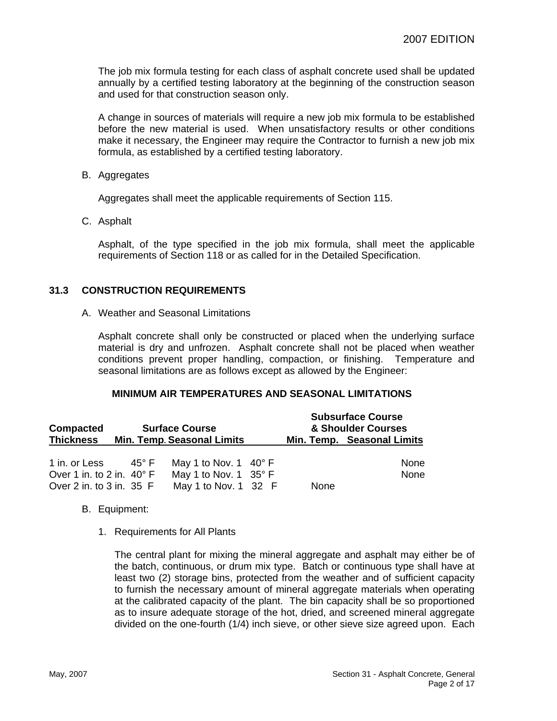The job mix formula testing for each class of asphalt concrete used shall be updated annually by a certified testing laboratory at the beginning of the construction season and used for that construction season only.

A change in sources of materials will require a new job mix formula to be established before the new material is used. When unsatisfactory results or other conditions make it necessary, the Engineer may require the Contractor to furnish a new job mix formula, as established by a certified testing laboratory.

B. Aggregates

Aggregates shall meet the applicable requirements of Section 115.

C. Asphalt

Asphalt, of the type specified in the job mix formula, shall meet the applicable requirements of Section 118 or as called for in the Detailed Specification.

# **31.3 CONSTRUCTION REQUIREMENTS**

A. Weather and Seasonal Limitations

Asphalt concrete shall only be constructed or placed when the underlying surface material is dry and unfrozen. Asphalt concrete shall not be placed when weather conditions prevent proper handling, compaction, or finishing. Temperature and seasonal limitations are as follows except as allowed by the Engineer:

### **MINIMUM AIR TEMPERATURES AND SEASONAL LIMITATIONS**

| <b>Compacted</b>                   |       | <b>Surface Course</b>             | <b>Subsurface Course</b><br>& Shoulder Courses |      |                            |
|------------------------------------|-------|-----------------------------------|------------------------------------------------|------|----------------------------|
| <b>Thickness</b>                   |       | <b>Min. Temp. Seasonal Limits</b> |                                                |      | Min. Temp. Seasonal Limits |
| 1 in. or Less                      | 45° F | May 1 to Nov. 1 $40^{\circ}$ F    |                                                |      | None                       |
| Over 1 in. to 2 in. $40^{\circ}$ F |       | May 1 to Nov. 1 $35^{\circ}$ F    |                                                |      | None                       |
| Over 2 in. to 3 in. 35 F           |       | May 1 to Nov. 1 32 F              |                                                | None |                            |

- B. Equipment:
	- 1. Requirements for All Plants

The central plant for mixing the mineral aggregate and asphalt may either be of the batch, continuous, or drum mix type. Batch or continuous type shall have at least two (2) storage bins, protected from the weather and of sufficient capacity to furnish the necessary amount of mineral aggregate materials when operating at the calibrated capacity of the plant. The bin capacity shall be so proportioned as to insure adequate storage of the hot, dried, and screened mineral aggregate divided on the one-fourth (1/4) inch sieve, or other sieve size agreed upon. Each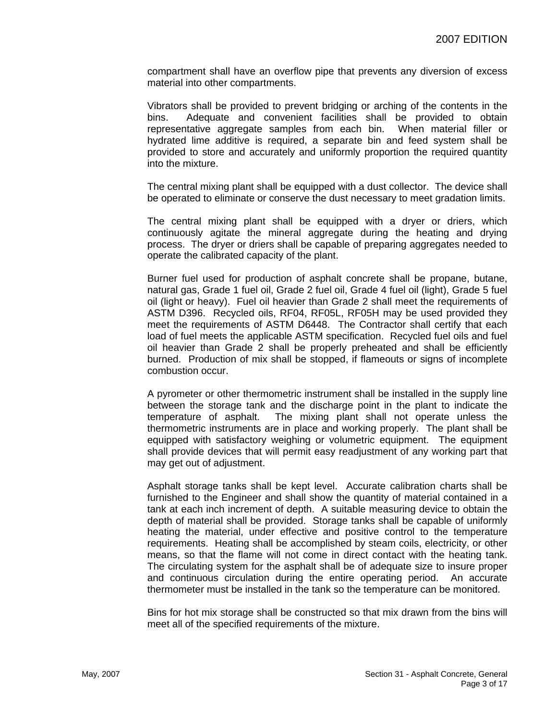compartment shall have an overflow pipe that prevents any diversion of excess material into other compartments.

Vibrators shall be provided to prevent bridging or arching of the contents in the bins. Adequate and convenient facilities shall be provided to obtain representative aggregate samples from each bin. When material filler or hydrated lime additive is required, a separate bin and feed system shall be provided to store and accurately and uniformly proportion the required quantity into the mixture.

The central mixing plant shall be equipped with a dust collector. The device shall be operated to eliminate or conserve the dust necessary to meet gradation limits.

The central mixing plant shall be equipped with a dryer or driers, which continuously agitate the mineral aggregate during the heating and drying process. The dryer or driers shall be capable of preparing aggregates needed to operate the calibrated capacity of the plant.

Burner fuel used for production of asphalt concrete shall be propane, butane, natural gas, Grade 1 fuel oil, Grade 2 fuel oil, Grade 4 fuel oil (light), Grade 5 fuel oil (light or heavy). Fuel oil heavier than Grade 2 shall meet the requirements of ASTM D396. Recycled oils, RF04, RF05L, RF05H may be used provided they meet the requirements of ASTM D6448. The Contractor shall certify that each load of fuel meets the applicable ASTM specification. Recycled fuel oils and fuel oil heavier than Grade 2 shall be properly preheated and shall be efficiently burned. Production of mix shall be stopped, if flameouts or signs of incomplete combustion occur.

A pyrometer or other thermometric instrument shall be installed in the supply line between the storage tank and the discharge point in the plant to indicate the temperature of asphalt. The mixing plant shall not operate unless the thermometric instruments are in place and working properly. The plant shall be equipped with satisfactory weighing or volumetric equipment. The equipment shall provide devices that will permit easy readjustment of any working part that may get out of adjustment.

Asphalt storage tanks shall be kept level. Accurate calibration charts shall be furnished to the Engineer and shall show the quantity of material contained in a tank at each inch increment of depth. A suitable measuring device to obtain the depth of material shall be provided. Storage tanks shall be capable of uniformly heating the material, under effective and positive control to the temperature requirements. Heating shall be accomplished by steam coils, electricity, or other means, so that the flame will not come in direct contact with the heating tank. The circulating system for the asphalt shall be of adequate size to insure proper and continuous circulation during the entire operating period. An accurate thermometer must be installed in the tank so the temperature can be monitored.

Bins for hot mix storage shall be constructed so that mix drawn from the bins will meet all of the specified requirements of the mixture.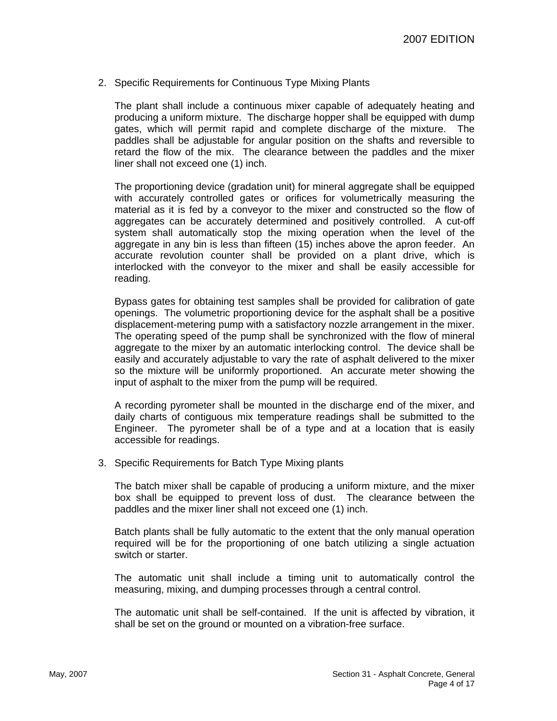2. Specific Requirements for Continuous Type Mixing Plants

The plant shall include a continuous mixer capable of adequately heating and producing a uniform mixture. The discharge hopper shall be equipped with dump gates, which will permit rapid and complete discharge of the mixture. The paddles shall be adjustable for angular position on the shafts and reversible to retard the flow of the mix. The clearance between the paddles and the mixer liner shall not exceed one (1) inch.

The proportioning device (gradation unit) for mineral aggregate shall be equipped with accurately controlled gates or orifices for volumetrically measuring the material as it is fed by a conveyor to the mixer and constructed so the flow of aggregates can be accurately determined and positively controlled. A cut-off system shall automatically stop the mixing operation when the level of the aggregate in any bin is less than fifteen (15) inches above the apron feeder. An accurate revolution counter shall be provided on a plant drive, which is interlocked with the conveyor to the mixer and shall be easily accessible for reading.

Bypass gates for obtaining test samples shall be provided for calibration of gate openings. The volumetric proportioning device for the asphalt shall be a positive displacement-metering pump with a satisfactory nozzle arrangement in the mixer. The operating speed of the pump shall be synchronized with the flow of mineral aggregate to the mixer by an automatic interlocking control. The device shall be easily and accurately adjustable to vary the rate of asphalt delivered to the mixer so the mixture will be uniformly proportioned. An accurate meter showing the input of asphalt to the mixer from the pump will be required.

A recording pyrometer shall be mounted in the discharge end of the mixer, and daily charts of contiguous mix temperature readings shall be submitted to the Engineer. The pyrometer shall be of a type and at a location that is easily accessible for readings.

3. Specific Requirements for Batch Type Mixing plants

The batch mixer shall be capable of producing a uniform mixture, and the mixer box shall be equipped to prevent loss of dust. The clearance between the paddles and the mixer liner shall not exceed one (1) inch.

Batch plants shall be fully automatic to the extent that the only manual operation required will be for the proportioning of one batch utilizing a single actuation switch or starter.

The automatic unit shall include a timing unit to automatically control the measuring, mixing, and dumping processes through a central control.

The automatic unit shall be self-contained. If the unit is affected by vibration, it shall be set on the ground or mounted on a vibration-free surface.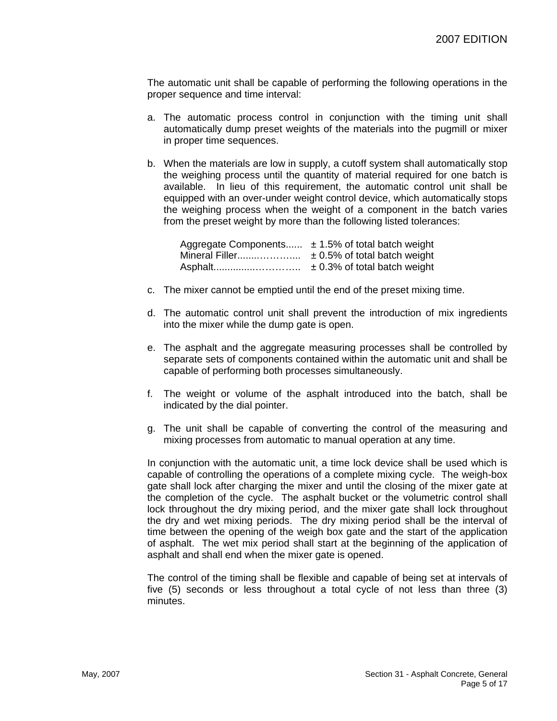The automatic unit shall be capable of performing the following operations in the proper sequence and time interval:

- a. The automatic process control in conjunction with the timing unit shall automatically dump preset weights of the materials into the pugmill or mixer in proper time sequences.
- b. When the materials are low in supply, a cutoff system shall automatically stop the weighing process until the quantity of material required for one batch is available. In lieu of this requirement, the automatic control unit shall be equipped with an over-under weight control device, which automatically stops the weighing process when the weight of a component in the batch varies from the preset weight by more than the following listed tolerances:

Aggregate Components......  $\pm$  1.5% of total batch weight Mineral Filler........……….... ± 0.5% of total batch weight Asphalt...............………….. ± 0.3% of total batch weight

- c. The mixer cannot be emptied until the end of the preset mixing time.
- d. The automatic control unit shall prevent the introduction of mix ingredients into the mixer while the dump gate is open.
- e. The asphalt and the aggregate measuring processes shall be controlled by separate sets of components contained within the automatic unit and shall be capable of performing both processes simultaneously.
- f. The weight or volume of the asphalt introduced into the batch, shall be indicated by the dial pointer.
- g. The unit shall be capable of converting the control of the measuring and mixing processes from automatic to manual operation at any time.

In conjunction with the automatic unit, a time lock device shall be used which is capable of controlling the operations of a complete mixing cycle. The weigh-box gate shall lock after charging the mixer and until the closing of the mixer gate at the completion of the cycle. The asphalt bucket or the volumetric control shall lock throughout the dry mixing period, and the mixer gate shall lock throughout the dry and wet mixing periods. The dry mixing period shall be the interval of time between the opening of the weigh box gate and the start of the application of asphalt. The wet mix period shall start at the beginning of the application of asphalt and shall end when the mixer gate is opened.

The control of the timing shall be flexible and capable of being set at intervals of five (5) seconds or less throughout a total cycle of not less than three (3) minutes.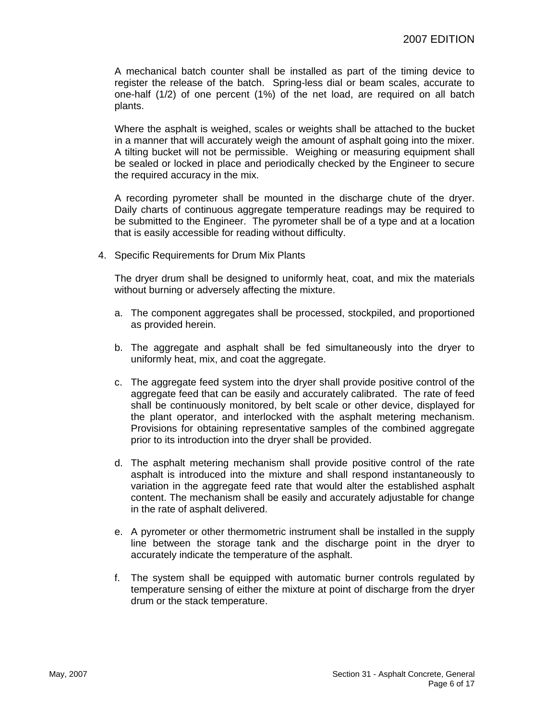A mechanical batch counter shall be installed as part of the timing device to register the release of the batch. Spring-less dial or beam scales, accurate to one-half (1/2) of one percent (1%) of the net load, are required on all batch plants.

Where the asphalt is weighed, scales or weights shall be attached to the bucket in a manner that will accurately weigh the amount of asphalt going into the mixer. A tilting bucket will not be permissible. Weighing or measuring equipment shall be sealed or locked in place and periodically checked by the Engineer to secure the required accuracy in the mix.

A recording pyrometer shall be mounted in the discharge chute of the dryer. Daily charts of continuous aggregate temperature readings may be required to be submitted to the Engineer. The pyrometer shall be of a type and at a location that is easily accessible for reading without difficulty.

4. Specific Requirements for Drum Mix Plants

The dryer drum shall be designed to uniformly heat, coat, and mix the materials without burning or adversely affecting the mixture.

- a. The component aggregates shall be processed, stockpiled, and proportioned as provided herein.
- b. The aggregate and asphalt shall be fed simultaneously into the dryer to uniformly heat, mix, and coat the aggregate.
- c. The aggregate feed system into the dryer shall provide positive control of the aggregate feed that can be easily and accurately calibrated. The rate of feed shall be continuously monitored, by belt scale or other device, displayed for the plant operator, and interlocked with the asphalt metering mechanism. Provisions for obtaining representative samples of the combined aggregate prior to its introduction into the dryer shall be provided.
- d. The asphalt metering mechanism shall provide positive control of the rate asphalt is introduced into the mixture and shall respond instantaneously to variation in the aggregate feed rate that would alter the established asphalt content. The mechanism shall be easily and accurately adjustable for change in the rate of asphalt delivered.
- e. A pyrometer or other thermometric instrument shall be installed in the supply line between the storage tank and the discharge point in the dryer to accurately indicate the temperature of the asphalt.
- f. The system shall be equipped with automatic burner controls regulated by temperature sensing of either the mixture at point of discharge from the dryer drum or the stack temperature.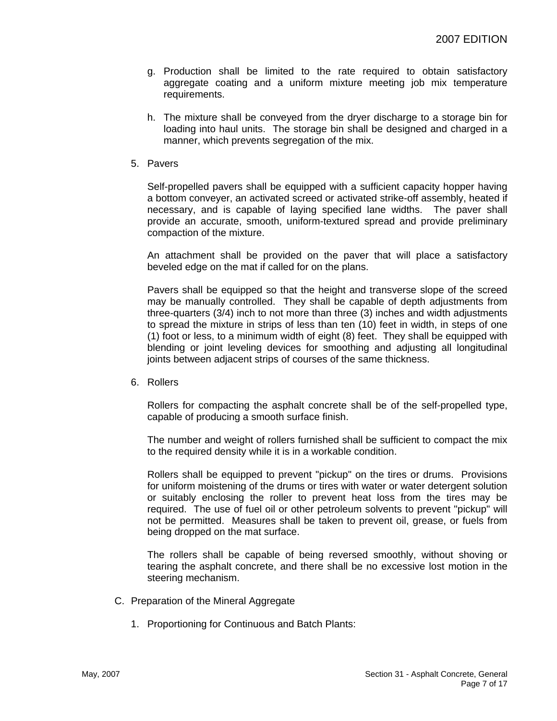- g. Production shall be limited to the rate required to obtain satisfactory aggregate coating and a uniform mixture meeting job mix temperature requirements.
- h. The mixture shall be conveyed from the dryer discharge to a storage bin for loading into haul units. The storage bin shall be designed and charged in a manner, which prevents segregation of the mix.
- 5. Pavers

Self-propelled pavers shall be equipped with a sufficient capacity hopper having a bottom conveyer, an activated screed or activated strike-off assembly, heated if necessary, and is capable of laying specified lane widths. The paver shall provide an accurate, smooth, uniform-textured spread and provide preliminary compaction of the mixture.

An attachment shall be provided on the paver that will place a satisfactory beveled edge on the mat if called for on the plans.

Pavers shall be equipped so that the height and transverse slope of the screed may be manually controlled. They shall be capable of depth adjustments from three-quarters (3/4) inch to not more than three (3) inches and width adjustments to spread the mixture in strips of less than ten (10) feet in width, in steps of one (1) foot or less, to a minimum width of eight (8) feet. They shall be equipped with blending or joint leveling devices for smoothing and adjusting all longitudinal joints between adjacent strips of courses of the same thickness.

6. Rollers

Rollers for compacting the asphalt concrete shall be of the self-propelled type, capable of producing a smooth surface finish.

The number and weight of rollers furnished shall be sufficient to compact the mix to the required density while it is in a workable condition.

Rollers shall be equipped to prevent "pickup" on the tires or drums. Provisions for uniform moistening of the drums or tires with water or water detergent solution or suitably enclosing the roller to prevent heat loss from the tires may be required. The use of fuel oil or other petroleum solvents to prevent "pickup" will not be permitted. Measures shall be taken to prevent oil, grease, or fuels from being dropped on the mat surface.

The rollers shall be capable of being reversed smoothly, without shoving or tearing the asphalt concrete, and there shall be no excessive lost motion in the steering mechanism.

- C. Preparation of the Mineral Aggregate
	- 1. Proportioning for Continuous and Batch Plants: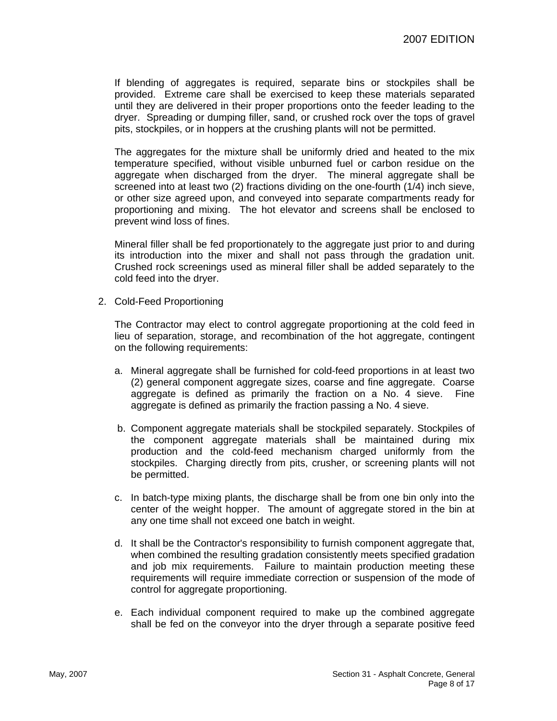If blending of aggregates is required, separate bins or stockpiles shall be provided. Extreme care shall be exercised to keep these materials separated until they are delivered in their proper proportions onto the feeder leading to the dryer. Spreading or dumping filler, sand, or crushed rock over the tops of gravel pits, stockpiles, or in hoppers at the crushing plants will not be permitted.

The aggregates for the mixture shall be uniformly dried and heated to the mix temperature specified, without visible unburned fuel or carbon residue on the aggregate when discharged from the dryer. The mineral aggregate shall be screened into at least two (2) fractions dividing on the one-fourth (1/4) inch sieve, or other size agreed upon, and conveyed into separate compartments ready for proportioning and mixing. The hot elevator and screens shall be enclosed to prevent wind loss of fines.

Mineral filler shall be fed proportionately to the aggregate just prior to and during its introduction into the mixer and shall not pass through the gradation unit. Crushed rock screenings used as mineral filler shall be added separately to the cold feed into the dryer.

2. Cold-Feed Proportioning

The Contractor may elect to control aggregate proportioning at the cold feed in lieu of separation, storage, and recombination of the hot aggregate, contingent on the following requirements:

- a. Mineral aggregate shall be furnished for cold-feed proportions in at least two (2) general component aggregate sizes, coarse and fine aggregate. Coarse aggregate is defined as primarily the fraction on a No. 4 sieve. Fine aggregate is defined as primarily the fraction passing a No. 4 sieve.
- b. Component aggregate materials shall be stockpiled separately. Stockpiles of the component aggregate materials shall be maintained during mix production and the cold-feed mechanism charged uniformly from the stockpiles. Charging directly from pits, crusher, or screening plants will not be permitted.
- c. In batch-type mixing plants, the discharge shall be from one bin only into the center of the weight hopper. The amount of aggregate stored in the bin at any one time shall not exceed one batch in weight.
- d. It shall be the Contractor's responsibility to furnish component aggregate that, when combined the resulting gradation consistently meets specified gradation and job mix requirements. Failure to maintain production meeting these requirements will require immediate correction or suspension of the mode of control for aggregate proportioning.
- e. Each individual component required to make up the combined aggregate shall be fed on the conveyor into the dryer through a separate positive feed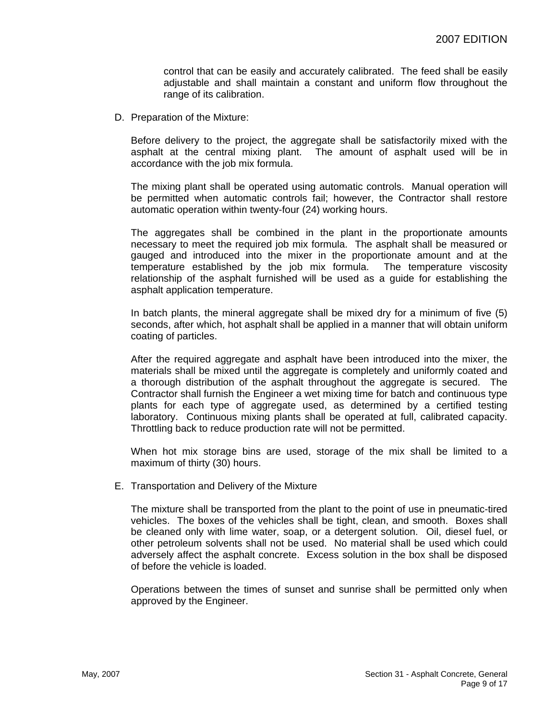control that can be easily and accurately calibrated. The feed shall be easily adjustable and shall maintain a constant and uniform flow throughout the range of its calibration.

D. Preparation of the Mixture:

Before delivery to the project, the aggregate shall be satisfactorily mixed with the asphalt at the central mixing plant. The amount of asphalt used will be in accordance with the job mix formula.

The mixing plant shall be operated using automatic controls. Manual operation will be permitted when automatic controls fail; however, the Contractor shall restore automatic operation within twenty-four (24) working hours.

The aggregates shall be combined in the plant in the proportionate amounts necessary to meet the required job mix formula. The asphalt shall be measured or gauged and introduced into the mixer in the proportionate amount and at the temperature established by the job mix formula. The temperature viscosity relationship of the asphalt furnished will be used as a guide for establishing the asphalt application temperature.

In batch plants, the mineral aggregate shall be mixed dry for a minimum of five (5) seconds, after which, hot asphalt shall be applied in a manner that will obtain uniform coating of particles.

After the required aggregate and asphalt have been introduced into the mixer, the materials shall be mixed until the aggregate is completely and uniformly coated and a thorough distribution of the asphalt throughout the aggregate is secured. The Contractor shall furnish the Engineer a wet mixing time for batch and continuous type plants for each type of aggregate used, as determined by a certified testing laboratory. Continuous mixing plants shall be operated at full, calibrated capacity. Throttling back to reduce production rate will not be permitted.

When hot mix storage bins are used, storage of the mix shall be limited to a maximum of thirty (30) hours.

E. Transportation and Delivery of the Mixture

The mixture shall be transported from the plant to the point of use in pneumatic-tired vehicles. The boxes of the vehicles shall be tight, clean, and smooth. Boxes shall be cleaned only with lime water, soap, or a detergent solution. Oil, diesel fuel, or other petroleum solvents shall not be used. No material shall be used which could adversely affect the asphalt concrete. Excess solution in the box shall be disposed of before the vehicle is loaded.

Operations between the times of sunset and sunrise shall be permitted only when approved by the Engineer.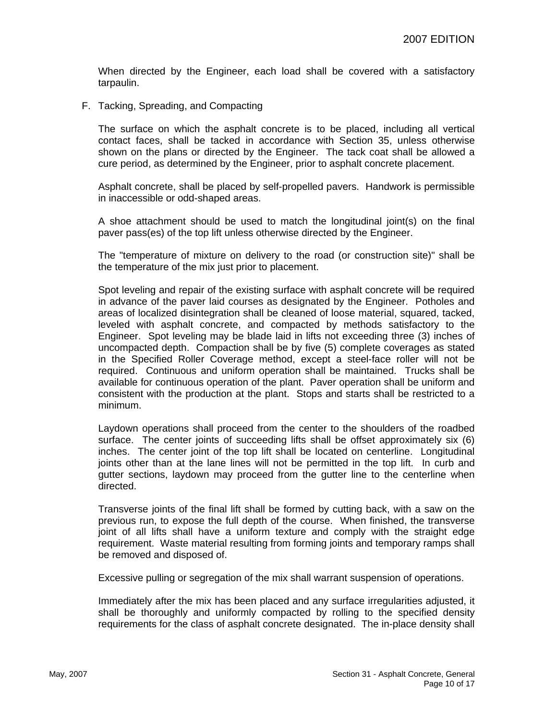When directed by the Engineer, each load shall be covered with a satisfactory tarpaulin.

F. Tacking, Spreading, and Compacting

The surface on which the asphalt concrete is to be placed, including all vertical contact faces, shall be tacked in accordance with Section 35, unless otherwise shown on the plans or directed by the Engineer. The tack coat shall be allowed a cure period, as determined by the Engineer, prior to asphalt concrete placement.

Asphalt concrete, shall be placed by self-propelled pavers. Handwork is permissible in inaccessible or odd-shaped areas.

A shoe attachment should be used to match the longitudinal joint(s) on the final paver pass(es) of the top lift unless otherwise directed by the Engineer.

The "temperature of mixture on delivery to the road (or construction site)" shall be the temperature of the mix just prior to placement.

Spot leveling and repair of the existing surface with asphalt concrete will be required in advance of the paver laid courses as designated by the Engineer. Potholes and areas of localized disintegration shall be cleaned of loose material, squared, tacked, leveled with asphalt concrete, and compacted by methods satisfactory to the Engineer. Spot leveling may be blade laid in lifts not exceeding three (3) inches of uncompacted depth. Compaction shall be by five (5) complete coverages as stated in the Specified Roller Coverage method, except a steel-face roller will not be required. Continuous and uniform operation shall be maintained. Trucks shall be available for continuous operation of the plant. Paver operation shall be uniform and consistent with the production at the plant. Stops and starts shall be restricted to a minimum.

Laydown operations shall proceed from the center to the shoulders of the roadbed surface. The center joints of succeeding lifts shall be offset approximately six (6) inches. The center joint of the top lift shall be located on centerline. Longitudinal joints other than at the lane lines will not be permitted in the top lift. In curb and gutter sections, laydown may proceed from the gutter line to the centerline when directed.

Transverse joints of the final lift shall be formed by cutting back, with a saw on the previous run, to expose the full depth of the course. When finished, the transverse joint of all lifts shall have a uniform texture and comply with the straight edge requirement. Waste material resulting from forming joints and temporary ramps shall be removed and disposed of.

Excessive pulling or segregation of the mix shall warrant suspension of operations.

Immediately after the mix has been placed and any surface irregularities adjusted, it shall be thoroughly and uniformly compacted by rolling to the specified density requirements for the class of asphalt concrete designated. The in-place density shall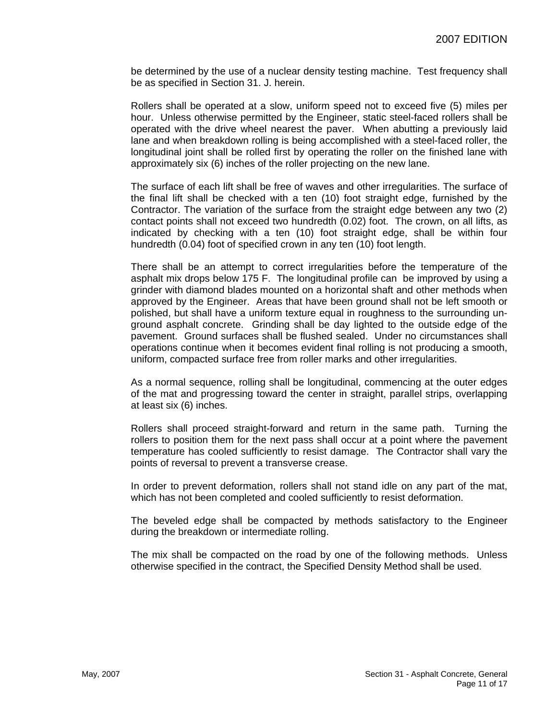be determined by the use of a nuclear density testing machine. Test frequency shall be as specified in Section 31. J. herein.

Rollers shall be operated at a slow, uniform speed not to exceed five (5) miles per hour. Unless otherwise permitted by the Engineer, static steel-faced rollers shall be operated with the drive wheel nearest the paver. When abutting a previously laid lane and when breakdown rolling is being accomplished with a steel-faced roller, the longitudinal joint shall be rolled first by operating the roller on the finished lane with approximately six (6) inches of the roller projecting on the new lane.

The surface of each lift shall be free of waves and other irregularities. The surface of the final lift shall be checked with a ten (10) foot straight edge, furnished by the Contractor. The variation of the surface from the straight edge between any two (2) contact points shall not exceed two hundredth (0.02) foot. The crown, on all lifts, as indicated by checking with a ten (10) foot straight edge, shall be within four hundredth (0.04) foot of specified crown in any ten (10) foot length.

There shall be an attempt to correct irregularities before the temperature of the asphalt mix drops below 175 F. The longitudinal profile can be improved by using a grinder with diamond blades mounted on a horizontal shaft and other methods when approved by the Engineer. Areas that have been ground shall not be left smooth or polished, but shall have a uniform texture equal in roughness to the surrounding unground asphalt concrete. Grinding shall be day lighted to the outside edge of the pavement. Ground surfaces shall be flushed sealed. Under no circumstances shall operations continue when it becomes evident final rolling is not producing a smooth, uniform, compacted surface free from roller marks and other irregularities.

As a normal sequence, rolling shall be longitudinal, commencing at the outer edges of the mat and progressing toward the center in straight, parallel strips, overlapping at least six (6) inches.

Rollers shall proceed straight-forward and return in the same path. Turning the rollers to position them for the next pass shall occur at a point where the pavement temperature has cooled sufficiently to resist damage. The Contractor shall vary the points of reversal to prevent a transverse crease.

In order to prevent deformation, rollers shall not stand idle on any part of the mat, which has not been completed and cooled sufficiently to resist deformation.

The beveled edge shall be compacted by methods satisfactory to the Engineer during the breakdown or intermediate rolling.

The mix shall be compacted on the road by one of the following methods. Unless otherwise specified in the contract, the Specified Density Method shall be used.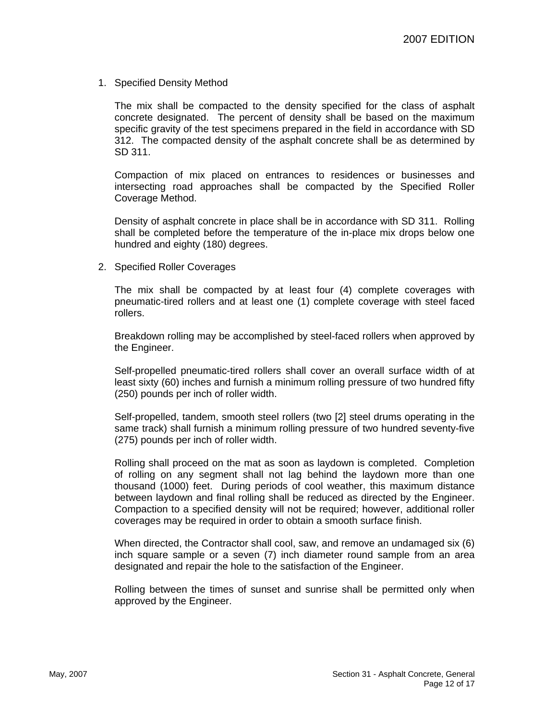#### 1. Specified Density Method

The mix shall be compacted to the density specified for the class of asphalt concrete designated. The percent of density shall be based on the maximum specific gravity of the test specimens prepared in the field in accordance with SD 312. The compacted density of the asphalt concrete shall be as determined by SD 311.

Compaction of mix placed on entrances to residences or businesses and intersecting road approaches shall be compacted by the Specified Roller Coverage Method.

Density of asphalt concrete in place shall be in accordance with SD 311. Rolling shall be completed before the temperature of the in-place mix drops below one hundred and eighty (180) degrees.

2. Specified Roller Coverages

The mix shall be compacted by at least four (4) complete coverages with pneumatic-tired rollers and at least one (1) complete coverage with steel faced rollers.

Breakdown rolling may be accomplished by steel-faced rollers when approved by the Engineer.

Self-propelled pneumatic-tired rollers shall cover an overall surface width of at least sixty (60) inches and furnish a minimum rolling pressure of two hundred fifty (250) pounds per inch of roller width.

Self-propelled, tandem, smooth steel rollers (two [2] steel drums operating in the same track) shall furnish a minimum rolling pressure of two hundred seventy-five (275) pounds per inch of roller width.

Rolling shall proceed on the mat as soon as laydown is completed. Completion of rolling on any segment shall not lag behind the laydown more than one thousand (1000) feet. During periods of cool weather, this maximum distance between laydown and final rolling shall be reduced as directed by the Engineer. Compaction to a specified density will not be required; however, additional roller coverages may be required in order to obtain a smooth surface finish.

When directed, the Contractor shall cool, saw, and remove an undamaged six (6) inch square sample or a seven (7) inch diameter round sample from an area designated and repair the hole to the satisfaction of the Engineer.

Rolling between the times of sunset and sunrise shall be permitted only when approved by the Engineer.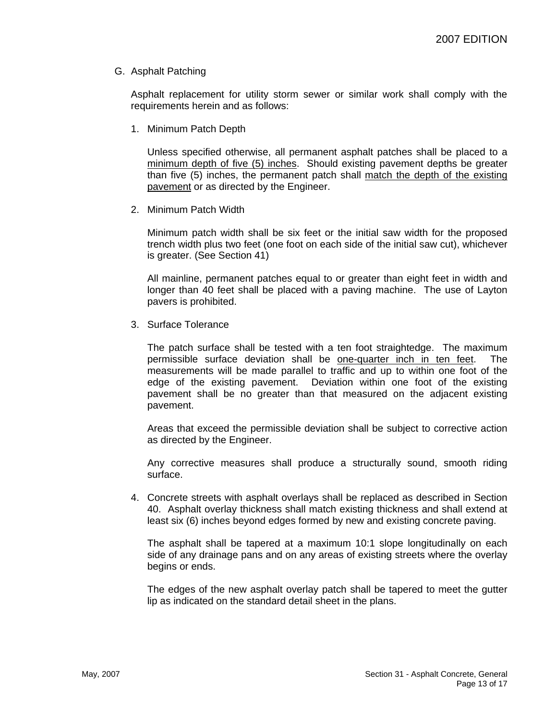#### G. Asphalt Patching

Asphalt replacement for utility storm sewer or similar work shall comply with the requirements herein and as follows:

1. Minimum Patch Depth

Unless specified otherwise, all permanent asphalt patches shall be placed to a minimum depth of five (5) inches. Should existing pavement depths be greater than five (5) inches, the permanent patch shall match the depth of the existing pavement or as directed by the Engineer.

2. Minimum Patch Width

Minimum patch width shall be six feet or the initial saw width for the proposed trench width plus two feet (one foot on each side of the initial saw cut), whichever is greater. (See Section 41)

All mainline, permanent patches equal to or greater than eight feet in width and longer than 40 feet shall be placed with a paving machine. The use of Layton pavers is prohibited.

3. Surface Tolerance

The patch surface shall be tested with a ten foot straightedge. The maximum permissible surface deviation shall be one-quarter inch in ten feet. The measurements will be made parallel to traffic and up to within one foot of the edge of the existing pavement. Deviation within one foot of the existing pavement shall be no greater than that measured on the adjacent existing pavement.

Areas that exceed the permissible deviation shall be subject to corrective action as directed by the Engineer.

Any corrective measures shall produce a structurally sound, smooth riding surface.

4. Concrete streets with asphalt overlays shall be replaced as described in Section 40. Asphalt overlay thickness shall match existing thickness and shall extend at least six (6) inches beyond edges formed by new and existing concrete paving.

The asphalt shall be tapered at a maximum 10:1 slope longitudinally on each side of any drainage pans and on any areas of existing streets where the overlay begins or ends.

The edges of the new asphalt overlay patch shall be tapered to meet the gutter lip as indicated on the standard detail sheet in the plans.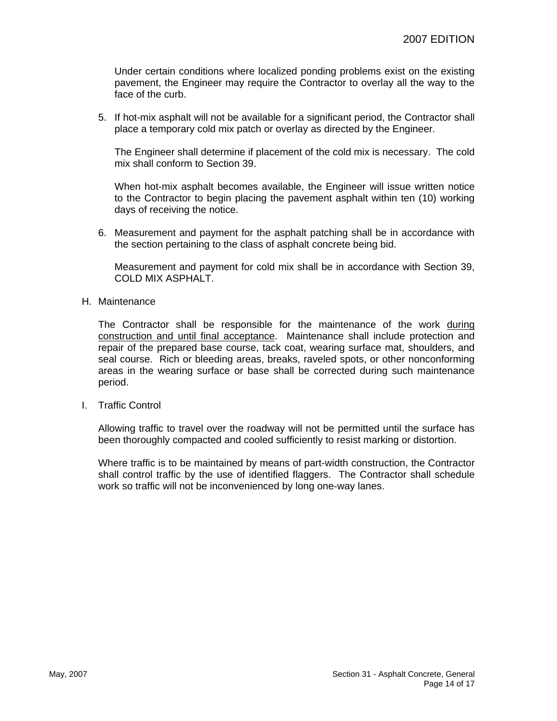Under certain conditions where localized ponding problems exist on the existing pavement, the Engineer may require the Contractor to overlay all the way to the face of the curb.

5. If hot-mix asphalt will not be available for a significant period, the Contractor shall place a temporary cold mix patch or overlay as directed by the Engineer.

The Engineer shall determine if placement of the cold mix is necessary. The cold mix shall conform to Section 39.

When hot-mix asphalt becomes available, the Engineer will issue written notice to the Contractor to begin placing the pavement asphalt within ten (10) working days of receiving the notice.

6. Measurement and payment for the asphalt patching shall be in accordance with the section pertaining to the class of asphalt concrete being bid.

Measurement and payment for cold mix shall be in accordance with Section 39, COLD MIX ASPHALT.

H. Maintenance

The Contractor shall be responsible for the maintenance of the work during construction and until final acceptance. Maintenance shall include protection and repair of the prepared base course, tack coat, wearing surface mat, shoulders, and seal course. Rich or bleeding areas, breaks, raveled spots, or other nonconforming areas in the wearing surface or base shall be corrected during such maintenance period.

I. Traffic Control

Allowing traffic to travel over the roadway will not be permitted until the surface has been thoroughly compacted and cooled sufficiently to resist marking or distortion.

Where traffic is to be maintained by means of part-width construction, the Contractor shall control traffic by the use of identified flaggers. The Contractor shall schedule work so traffic will not be inconvenienced by long one-way lanes.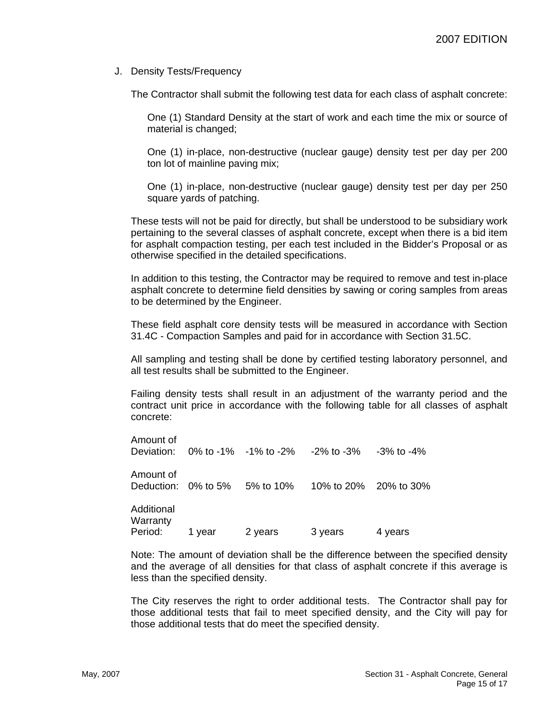J. Density Tests/Frequency

The Contractor shall submit the following test data for each class of asphalt concrete:

One (1) Standard Density at the start of work and each time the mix or source of material is changed;

One (1) in-place, non-destructive (nuclear gauge) density test per day per 200 ton lot of mainline paving mix;

One (1) in-place, non-destructive (nuclear gauge) density test per day per 250 square yards of patching.

These tests will not be paid for directly, but shall be understood to be subsidiary work pertaining to the several classes of asphalt concrete, except when there is a bid item for asphalt compaction testing, per each test included in the Bidder's Proposal or as otherwise specified in the detailed specifications.

In addition to this testing, the Contractor may be required to remove and test in-place asphalt concrete to determine field densities by sawing or coring samples from areas to be determined by the Engineer.

These field asphalt core density tests will be measured in accordance with Section 31.4C - Compaction Samples and paid for in accordance with Section 31.5C.

All sampling and testing shall be done by certified testing laboratory personnel, and all test results shall be submitted to the Engineer.

Failing density tests shall result in an adjustment of the warranty period and the contract unit price in accordance with the following table for all classes of asphalt concrete:

| Amount of                         |        |         | Deviation: $0\%$ to -1% -1% to -2% -2% to -3% -3% to -4% |         |
|-----------------------------------|--------|---------|----------------------------------------------------------|---------|
| Amount of                         |        |         | Deduction: 0% to 5% 5% to 10% 10% to 20% 20% to 30%      |         |
| Additional<br>Warranty<br>Period: | 1 year | 2 years | 3 years                                                  | 4 years |

Note: The amount of deviation shall be the difference between the specified density and the average of all densities for that class of asphalt concrete if this average is less than the specified density.

The City reserves the right to order additional tests. The Contractor shall pay for those additional tests that fail to meet specified density, and the City will pay for those additional tests that do meet the specified density.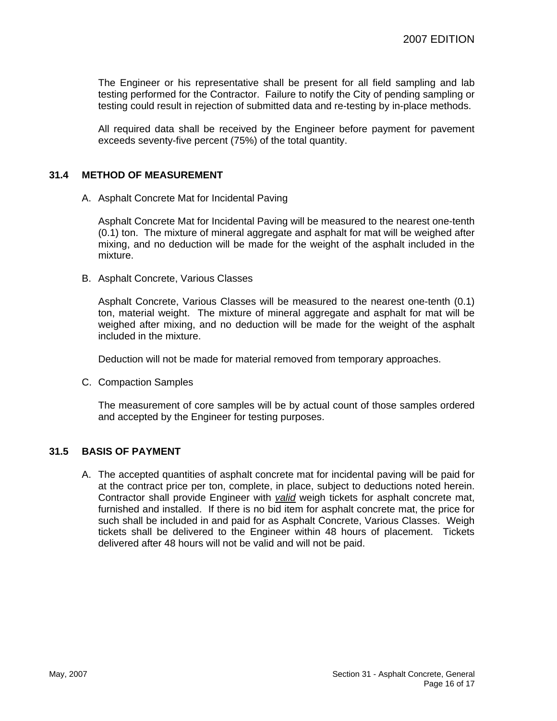The Engineer or his representative shall be present for all field sampling and lab testing performed for the Contractor. Failure to notify the City of pending sampling or testing could result in rejection of submitted data and re-testing by in-place methods.

All required data shall be received by the Engineer before payment for pavement exceeds seventy-five percent (75%) of the total quantity.

### **31.4 METHOD OF MEASUREMENT**

A. Asphalt Concrete Mat for Incidental Paving

Asphalt Concrete Mat for Incidental Paving will be measured to the nearest one-tenth (0.1) ton. The mixture of mineral aggregate and asphalt for mat will be weighed after mixing, and no deduction will be made for the weight of the asphalt included in the mixture.

B. Asphalt Concrete, Various Classes

Asphalt Concrete, Various Classes will be measured to the nearest one-tenth (0.1) ton, material weight. The mixture of mineral aggregate and asphalt for mat will be weighed after mixing, and no deduction will be made for the weight of the asphalt included in the mixture.

Deduction will not be made for material removed from temporary approaches.

C. Compaction Samples

The measurement of core samples will be by actual count of those samples ordered and accepted by the Engineer for testing purposes.

#### **31.5 BASIS OF PAYMENT**

A. The accepted quantities of asphalt concrete mat for incidental paving will be paid for at the contract price per ton, complete, in place, subject to deductions noted herein. Contractor shall provide Engineer with *valid* weigh tickets for asphalt concrete mat, furnished and installed. If there is no bid item for asphalt concrete mat, the price for such shall be included in and paid for as Asphalt Concrete, Various Classes. Weigh tickets shall be delivered to the Engineer within 48 hours of placement. Tickets delivered after 48 hours will not be valid and will not be paid.